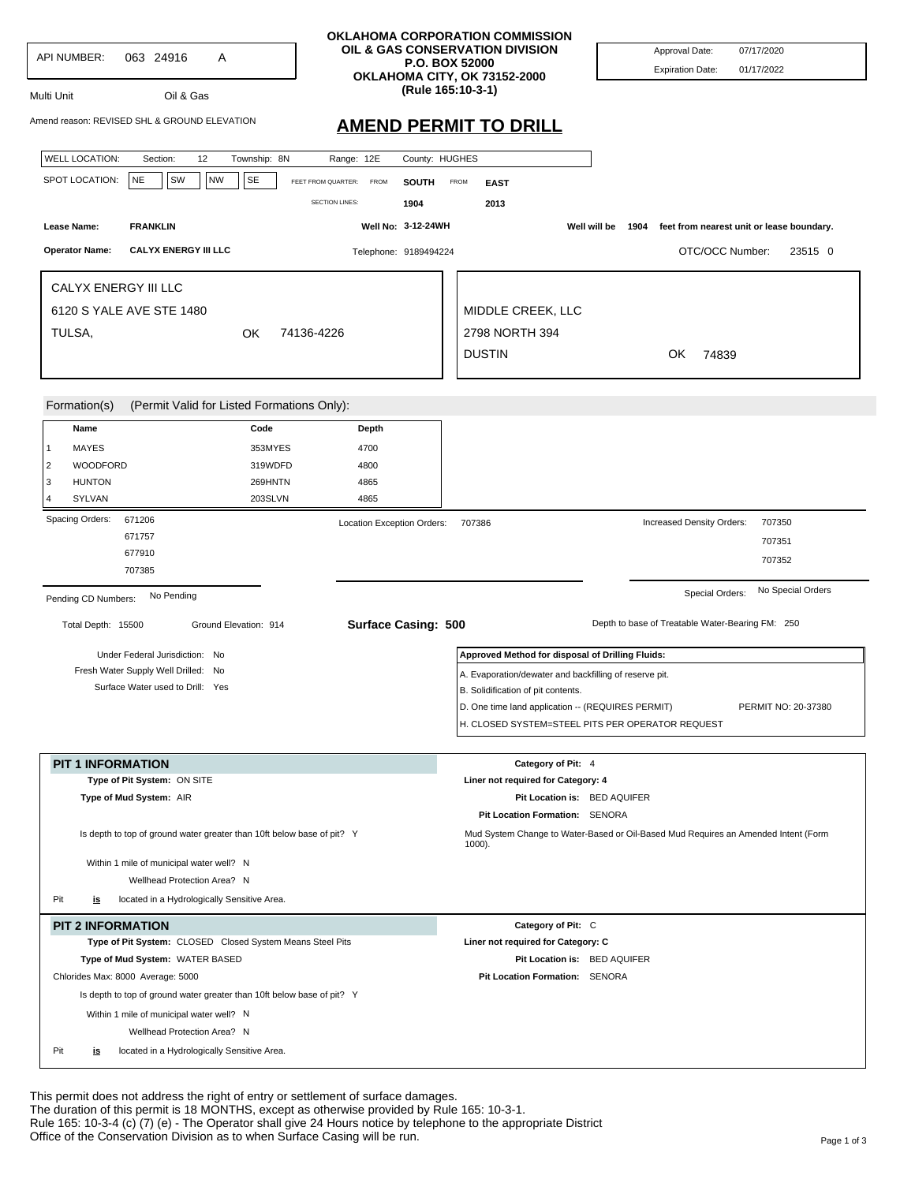| API NUMBER:<br>063 24916<br>A<br>Oil & Gas<br>Multi Unit<br>Amend reason: REVISED SHL & GROUND ELEVATION                                                                                                                                                                                                           | <b>OKLAHOMA CORPORATION COMMISSION</b><br>OIL & GAS CONSERVATION DIVISION<br><b>P.O. BOX 52000</b><br>OKLAHOMA CITY, OK 73152-2000<br>(Rule 165:10-3-1)<br><b>AMEND PERMIT TO DRILL</b>               | 07/17/2020<br>Approval Date:<br><b>Expiration Date:</b><br>01/17/2022                                              |
|--------------------------------------------------------------------------------------------------------------------------------------------------------------------------------------------------------------------------------------------------------------------------------------------------------------------|-------------------------------------------------------------------------------------------------------------------------------------------------------------------------------------------------------|--------------------------------------------------------------------------------------------------------------------|
| <b>WELL LOCATION:</b><br>12<br>Township: 8N<br>Section:<br>SPOT LOCATION:<br><b>NE</b><br>SW<br><b>NW</b><br>SE                                                                                                                                                                                                    | Range: 12E<br>County: HUGHES<br>FEET FROM QUARTER:<br><b>FROM</b><br><b>SOUTH</b><br>FROM<br><b>EAST</b><br><b>SECTION LINES:</b><br>1904<br>2013                                                     |                                                                                                                    |
| <b>FRANKLIN</b><br>Lease Name:                                                                                                                                                                                                                                                                                     | Well No: 3-12-24WH                                                                                                                                                                                    | Well will be<br>1904<br>feet from nearest unit or lease boundary.                                                  |
| <b>CALYX ENERGY III LLC</b><br><b>Operator Name:</b>                                                                                                                                                                                                                                                               | Telephone: 9189494224                                                                                                                                                                                 | OTC/OCC Number:<br>23515 0                                                                                         |
| CALYX ENERGY III LLC<br>6120 S YALE AVE STE 1480<br>TULSA,<br>OK.                                                                                                                                                                                                                                                  | MIDDLE CREEK, LLC<br>2798 NORTH 394<br>74136-4226<br><b>DUSTIN</b>                                                                                                                                    | OK<br>74839                                                                                                        |
| (Permit Valid for Listed Formations Only):<br>Formation(s)                                                                                                                                                                                                                                                         |                                                                                                                                                                                                       |                                                                                                                    |
| Name<br>Code<br>MAYES<br>353MYES<br>1<br>WOODFORD<br>2<br>319WDFD<br>3<br><b>HUNTON</b><br>269HNTN<br>SYLVAN<br>203SLVN<br>Δ                                                                                                                                                                                       | Depth<br>4700<br>4800<br>4865<br>4865                                                                                                                                                                 |                                                                                                                    |
| Spacing Orders:<br>671206<br>671757<br>677910<br>707385                                                                                                                                                                                                                                                            | Location Exception Orders:<br>707386                                                                                                                                                                  | Increased Density Orders:<br>707350<br>707351<br>707352                                                            |
| No Pending<br>Pending CD Numbers:<br>Total Depth: 15500<br>Ground Elevation: 914                                                                                                                                                                                                                                   | <b>Surface Casing: 500</b>                                                                                                                                                                            | No Special Orders<br>Special Orders:<br>Depth to base of Treatable Water-Bearing FM: 250                           |
| Under Federal Jurisdiction: No<br>Fresh Water Supply Well Drilled: No<br>Surface Water used to Drill: Yes                                                                                                                                                                                                          | Approved Method for disposal of Drilling Fluids:<br>A. Evaporation/dewater and backfilling of reserve pit.<br>B. Solidification of pit contents.<br>D. One time land application -- (REQUIRES PERMIT) | PERMIT NO: 20-37380<br>H. CLOSED SYSTEM=STEEL PITS PER OPERATOR REQUEST                                            |
| <b>PIT 1 INFORMATION</b>                                                                                                                                                                                                                                                                                           | Category of Pit: 4                                                                                                                                                                                    |                                                                                                                    |
| Type of Pit System: ON SITE<br>Type of Mud System: AIR<br>Is depth to top of ground water greater than 10ft below base of pit? Y                                                                                                                                                                                   | Liner not required for Category: 4<br>Pit Location Formation: SENORA                                                                                                                                  | Pit Location is: BED AQUIFER<br>Mud System Change to Water-Based or Oil-Based Mud Requires an Amended Intent (Form |
| Within 1 mile of municipal water well? N<br>Wellhead Protection Area? N<br>Pit<br>located in a Hydrologically Sensitive Area.<br><u>is</u>                                                                                                                                                                         | $1000$ ).                                                                                                                                                                                             |                                                                                                                    |
| <b>PIT 2 INFORMATION</b><br>Type of Pit System: CLOSED Closed System Means Steel Pits<br>Type of Mud System: WATER BASED<br>Chlorides Max: 8000 Average: 5000<br>Is depth to top of ground water greater than 10ft below base of pit? Y<br>Within 1 mile of municipal water well? N<br>Wellhead Protection Area? N | Category of Pit: C<br>Liner not required for Category: C<br>Pit Location Formation: SENORA                                                                                                            | Pit Location is: BED AQUIFER                                                                                       |

This permit does not address the right of entry or settlement of surface damages. The duration of this permit is 18 MONTHS, except as otherwise provided by Rule 165: 10-3-1. Rule 165: 10-3-4 (c) (7) (e) - The Operator shall give 24 Hours notice by telephone to the appropriate District Office of the Conservation Division as to when Surface Casing will be run.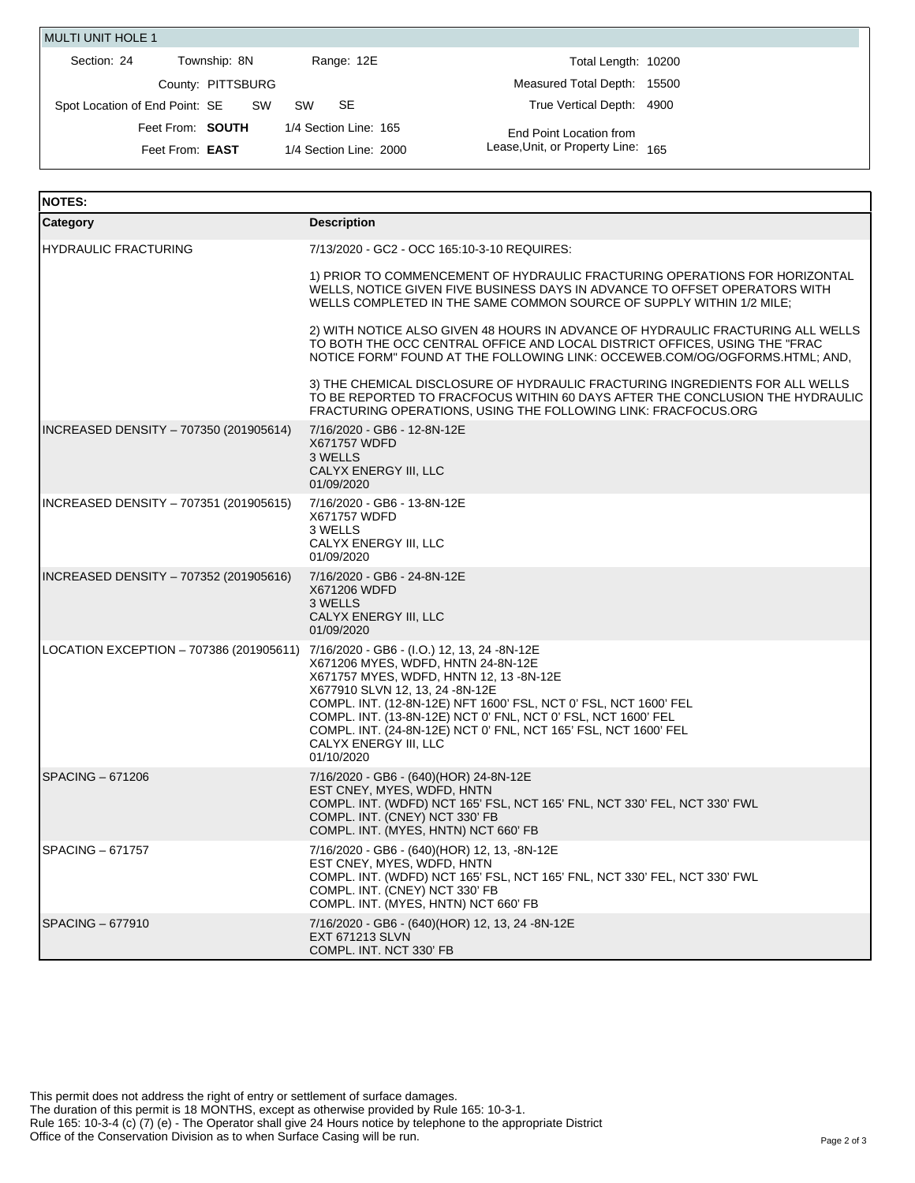| <b>MULTI UNIT HOLE 1</b>       |                   |                        |                                    |  |
|--------------------------------|-------------------|------------------------|------------------------------------|--|
| Section: 24                    | Township: 8N      | Range: 12E             | Total Length: 10200                |  |
|                                | County: PITTSBURG |                        | Measured Total Depth: 15500        |  |
| Spot Location of End Point: SE | sw                | -SE<br>sw              | True Vertical Depth: 4900          |  |
|                                | Feet From: SOUTH  | 1/4 Section Line: 165  | End Point Location from            |  |
| Feet From: <b>EAST</b>         |                   | 1/4 Section Line: 2000 | Lease, Unit, or Property Line: 165 |  |

| <b>NOTES:</b>                                                                       |                                                                                                                                                                                                                                                                                                                                                                 |  |  |  |
|-------------------------------------------------------------------------------------|-----------------------------------------------------------------------------------------------------------------------------------------------------------------------------------------------------------------------------------------------------------------------------------------------------------------------------------------------------------------|--|--|--|
| Category                                                                            | <b>Description</b>                                                                                                                                                                                                                                                                                                                                              |  |  |  |
| <b>HYDRAULIC FRACTURING</b>                                                         | 7/13/2020 - GC2 - OCC 165:10-3-10 REQUIRES:                                                                                                                                                                                                                                                                                                                     |  |  |  |
|                                                                                     | 1) PRIOR TO COMMENCEMENT OF HYDRAULIC FRACTURING OPERATIONS FOR HORIZONTAL<br>WELLS, NOTICE GIVEN FIVE BUSINESS DAYS IN ADVANCE TO OFFSET OPERATORS WITH<br>WELLS COMPLETED IN THE SAME COMMON SOURCE OF SUPPLY WITHIN 1/2 MILE:                                                                                                                                |  |  |  |
|                                                                                     | 2) WITH NOTICE ALSO GIVEN 48 HOURS IN ADVANCE OF HYDRAULIC FRACTURING ALL WELLS<br>TO BOTH THE OCC CENTRAL OFFICE AND LOCAL DISTRICT OFFICES, USING THE "FRAC<br>NOTICE FORM" FOUND AT THE FOLLOWING LINK: OCCEWEB.COM/OG/OGFORMS.HTML; AND,                                                                                                                    |  |  |  |
|                                                                                     | 3) THE CHEMICAL DISCLOSURE OF HYDRAULIC FRACTURING INGREDIENTS FOR ALL WELLS<br>TO BE REPORTED TO FRACFOCUS WITHIN 60 DAYS AFTER THE CONCLUSION THE HYDRAULIC<br>FRACTURING OPERATIONS, USING THE FOLLOWING LINK: FRACFOCUS.ORG                                                                                                                                 |  |  |  |
| INCREASED DENSITY - 707350 (201905614)                                              | 7/16/2020 - GB6 - 12-8N-12E<br>X671757 WDFD<br>3 WELLS<br>CALYX ENERGY III, LLC<br>01/09/2020                                                                                                                                                                                                                                                                   |  |  |  |
| INCREASED DENSITY - 707351 (201905615)                                              | 7/16/2020 - GB6 - 13-8N-12E<br>X671757 WDFD<br>3 WELLS<br>CALYX ENERGY III, LLC<br>01/09/2020                                                                                                                                                                                                                                                                   |  |  |  |
| INCREASED DENSITY - 707352 (201905616)                                              | 7/16/2020 - GB6 - 24-8N-12E<br>X671206 WDFD<br>3 WELLS<br>CALYX ENERGY III, LLC<br>01/09/2020                                                                                                                                                                                                                                                                   |  |  |  |
| LOCATION EXCEPTION - 707386 (201905611) 7/16/2020 - GB6 - (I.O.) 12, 13, 24 -8N-12E | X671206 MYES, WDFD, HNTN 24-8N-12E<br>X671757 MYES, WDFD, HNTN 12, 13 -8N-12E<br>X677910 SLVN 12, 13, 24 -8N-12E<br>COMPL. INT. (12-8N-12E) NFT 1600' FSL, NCT 0' FSL, NCT 1600' FEL<br>COMPL. INT. (13-8N-12E) NCT 0' FNL, NCT 0' FSL, NCT 1600' FEL<br>COMPL. INT. (24-8N-12E) NCT 0' FNL, NCT 165' FSL, NCT 1600' FEL<br>CALYX ENERGY III, LLC<br>01/10/2020 |  |  |  |
| SPACING – 671206                                                                    | 7/16/2020 - GB6 - (640)(HOR) 24-8N-12E<br>EST CNEY, MYES, WDFD, HNTN<br>COMPL. INT. (WDFD) NCT 165' FSL, NCT 165' FNL, NCT 330' FEL, NCT 330' FWL<br>COMPL. INT. (CNEY) NCT 330' FB<br>COMPL. INT. (MYES, HNTN) NCT 660' FB                                                                                                                                     |  |  |  |
| SPACING – 671757                                                                    | 7/16/2020 - GB6 - (640)(HOR) 12, 13, -8N-12E<br>EST CNEY, MYES, WDFD, HNTN<br>COMPL. INT. (WDFD) NCT 165' FSL, NCT 165' FNL, NCT 330' FEL, NCT 330' FWL<br>COMPL. INT. (CNEY) NCT 330' FB<br>COMPL. INT. (MYES, HNTN) NCT 660' FB                                                                                                                               |  |  |  |
| SPACING - 677910                                                                    | 7/16/2020 - GB6 - (640)(HOR) 12, 13, 24 -8N-12E<br><b>EXT 671213 SLVN</b><br>COMPL. INT. NCT 330' FB                                                                                                                                                                                                                                                            |  |  |  |

This permit does not address the right of entry or settlement of surface damages. The duration of this permit is 18 MONTHS, except as otherwise provided by Rule 165: 10-3-1. Rule 165: 10-3-4 (c) (7) (e) - The Operator shall give 24 Hours notice by telephone to the appropriate District Office of the Conservation Division as to when Surface Casing will be run.